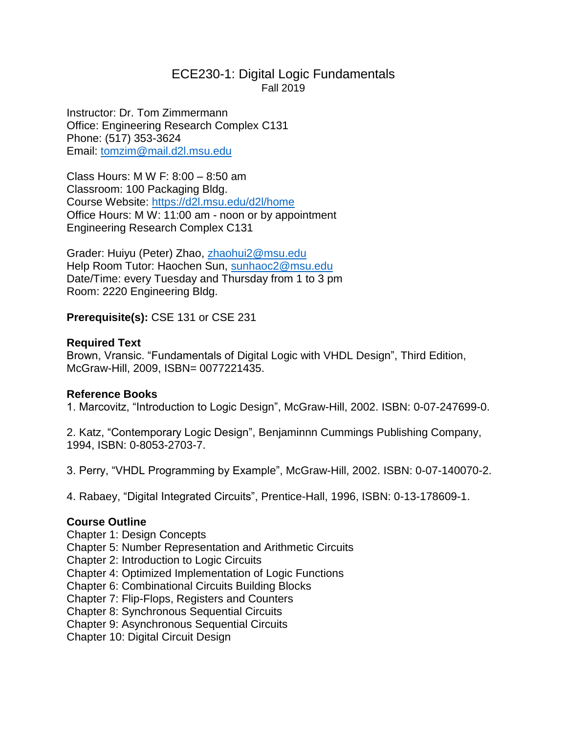# ECE230-1: Digital Logic Fundamentals Fall 2019

Instructor: Dr. Tom Zimmermann Office: Engineering Research Complex C131 Phone: (517) 353-3624 Email: [tomzim@mail.d2l.msu.edu](mailto:tomzim@mail.d2l.msu.edu)

Class Hours: M W F: 8:00 – 8:50 am Classroom: 100 Packaging Bldg. Course Website:<https://d2l.msu.edu/d2l/home> Office Hours: M W: 11:00 am - noon or by appointment Engineering Research Complex C131

Grader: Huiyu (Peter) Zhao, [zhaohui2@msu.edu](mailto:zhaohui2@msu.edu) Help Room Tutor: Haochen Sun, [sunhaoc2@msu.edu](mailto:sunhaoc2@msu.edu) Date/Time: every Tuesday and Thursday from 1 to 3 pm Room: 2220 Engineering Bldg.

**Prerequisite(s):** CSE 131 or CSE 231

# **Required Text**

Brown, Vransic. "Fundamentals of Digital Logic with VHDL Design", Third Edition, McGraw-Hill, 2009, ISBN= 0077221435.

# **Reference Books**

1. Marcovitz, "Introduction to Logic Design", McGraw-Hill, 2002. ISBN: 0-07-247699-0.

2. Katz, "Contemporary Logic Design", Benjaminnn Cummings Publishing Company, 1994, ISBN: 0-8053-2703-7.

3. Perry, "VHDL Programming by Example", McGraw-Hill, 2002. ISBN: 0-07-140070-2.

4. Rabaey, "Digital Integrated Circuits", Prentice-Hall, 1996, ISBN: 0-13-178609-1.

# **Course Outline**

Chapter 1: Design Concepts

Chapter 5: Number Representation and Arithmetic Circuits

Chapter 2: Introduction to Logic Circuits

Chapter 4: Optimized Implementation of Logic Functions

Chapter 6: Combinational Circuits Building Blocks

Chapter 7: Flip-Flops, Registers and Counters

Chapter 8: Synchronous Sequential Circuits

Chapter 9: Asynchronous Sequential Circuits

Chapter 10: Digital Circuit Design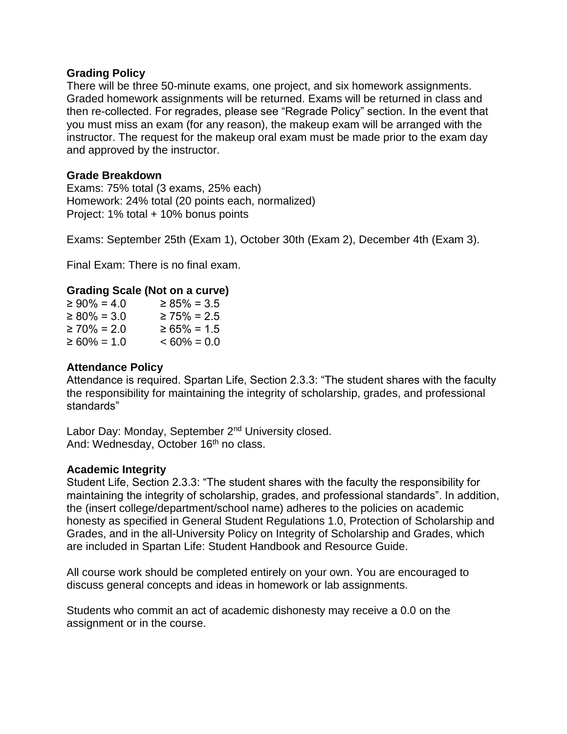# **Grading Policy**

There will be three 50-minute exams, one project, and six homework assignments. Graded homework assignments will be returned. Exams will be returned in class and then re-collected. For regrades, please see "Regrade Policy" section. In the event that you must miss an exam (for any reason), the makeup exam will be arranged with the instructor. The request for the makeup oral exam must be made prior to the exam day and approved by the instructor.

# **Grade Breakdown**

Exams: 75% total (3 exams, 25% each) Homework: 24% total (20 points each, normalized) Project: 1% total + 10% bonus points

Exams: September 25th (Exam 1), October 30th (Exam 2), December 4th (Exam 3).

Final Exam: There is no final exam.

## **Grading Scale (Not on a curve)**

| $\geq 90\% = 4.0$ | $\geq 85\% = 3.5$ |
|-------------------|-------------------|
| $\geq 80\% = 3.0$ | $\geq 75\% = 2.5$ |
| $\geq 70\% = 2.0$ | $\geq 65\% = 1.5$ |
| $\geq 60\% = 1.0$ | $<60\% = 0.0$     |

#### **Attendance Policy**

Attendance is required. Spartan Life, Section 2.3.3: "The student shares with the faculty the responsibility for maintaining the integrity of scholarship, grades, and professional standards"

Labor Day: Monday, September 2<sup>nd</sup> University closed. And: Wednesday, October 16<sup>th</sup> no class.

#### **Academic Integrity**

Student Life, Section 2.3.3: "The student shares with the faculty the responsibility for maintaining the integrity of scholarship, grades, and professional standards". In addition, the (insert college/department/school name) adheres to the policies on academic honesty as specified in General Student Regulations 1.0, Protection of Scholarship and Grades, and in the all-University Policy on Integrity of Scholarship and Grades, which are included in Spartan Life: Student Handbook and Resource Guide.

All course work should be completed entirely on your own. You are encouraged to discuss general concepts and ideas in homework or lab assignments.

Students who commit an act of academic dishonesty may receive a 0.0 on the assignment or in the course.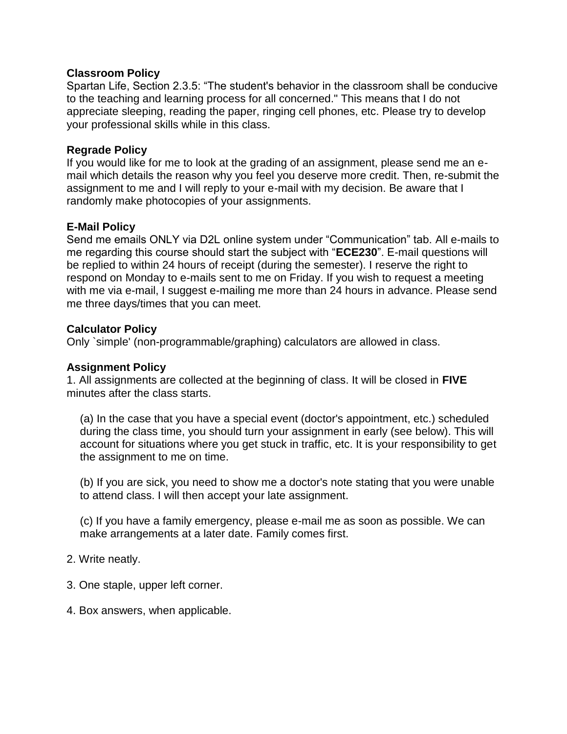## **Classroom Policy**

Spartan Life, Section 2.3.5: "The student's behavior in the classroom shall be conducive to the teaching and learning process for all concerned." This means that I do not appreciate sleeping, reading the paper, ringing cell phones, etc. Please try to develop your professional skills while in this class.

## **Regrade Policy**

If you would like for me to look at the grading of an assignment, please send me an email which details the reason why you feel you deserve more credit. Then, re-submit the assignment to me and I will reply to your e-mail with my decision. Be aware that I randomly make photocopies of your assignments.

## **E-Mail Policy**

Send me emails ONLY via D2L online system under "Communication" tab. All e-mails to me regarding this course should start the subject with "**ECE230**". E-mail questions will be replied to within 24 hours of receipt (during the semester). I reserve the right to respond on Monday to e-mails sent to me on Friday. If you wish to request a meeting with me via e-mail, I suggest e-mailing me more than 24 hours in advance. Please send me three days/times that you can meet.

## **Calculator Policy**

Only `simple' (non-programmable/graphing) calculators are allowed in class.

#### **Assignment Policy**

1. All assignments are collected at the beginning of class. It will be closed in **FIVE**  minutes after the class starts.

(a) In the case that you have a special event (doctor's appointment, etc.) scheduled during the class time, you should turn your assignment in early (see below). This will account for situations where you get stuck in traffic, etc. It is your responsibility to get the assignment to me on time.

(b) If you are sick, you need to show me a doctor's note stating that you were unable to attend class. I will then accept your late assignment.

(c) If you have a family emergency, please e-mail me as soon as possible. We can make arrangements at a later date. Family comes first.

2. Write neatly.

- 3. One staple, upper left corner.
- 4. Box answers, when applicable.